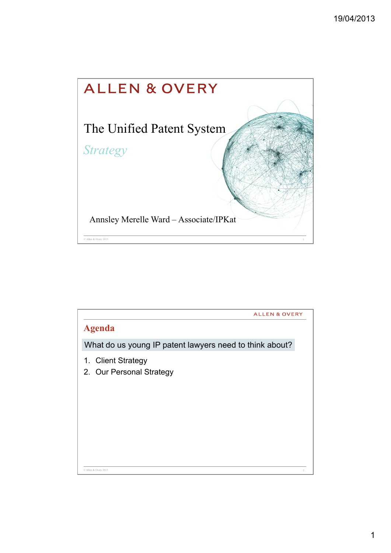

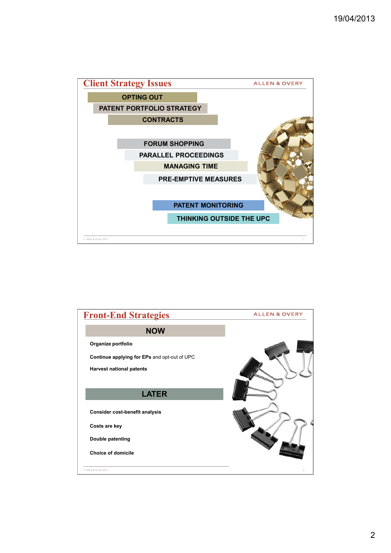

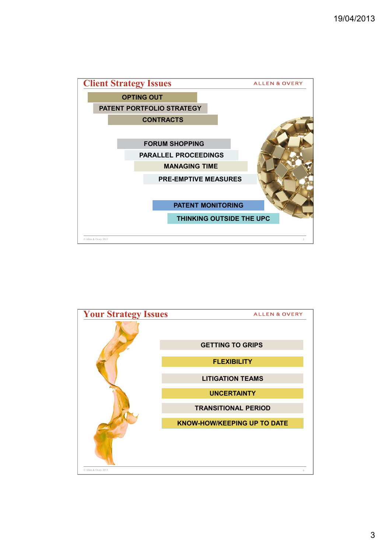